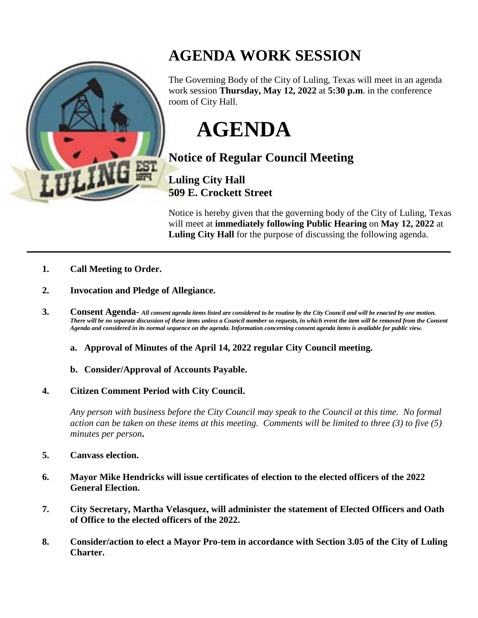

## **AGENDA WORK SESSION**

The Governing Body of the City of Luling, Texas will meet in an agenda work session **Thursday, May 12, 2022** at **5:30 p.m**. in the conference room of City Hall.

**AGENDA**

**Notice of Regular Council Meeting**

**Luling City Hall 509 E. Crockett Street**

Notice is hereby given that the governing body of the City of Luling, Texas will meet at **immediately following Public Hearing** on **May 12, 2022** at **Luling City Hall** for the purpose of discussing the following agenda.

- **1. Call Meeting to Order.**
- **2. Invocation and Pledge of Allegiance.**
- **3. Consent Agenda-** *All consent agenda items listed are considered to be routine by the City Council and will be enacted by one motion. There will be no separate discussion of these items unless a Council member so requests, in which event the item will be removed from the Consent Agenda and considered in its normal sequence on the agenda. Information concerning consent agenda items is available for public view.*
	- **a. Approval of Minutes of the April 14, 2022 regular City Council meeting.**
	- **b. Consider/Approval of Accounts Payable.**
- **4. Citizen Comment Period with City Council.**

*Any person with business before the City Council may speak to the Council at this time. No formal action can be taken on these items at this meeting. Comments will be limited to three (3) to five (5) minutes per person***.**

- **5. Canvass election.**
- **6. Mayor Mike Hendricks will issue certificates of election to the elected officers of the 2022 General Election.**
- **7. City Secretary, Martha Velasquez, will administer the statement of Elected Officers and Oath of Office to the elected officers of the 2022.**
- **8. Consider/action to elect a Mayor Pro-tem in accordance with Section 3.05 of the City of Luling Charter.**